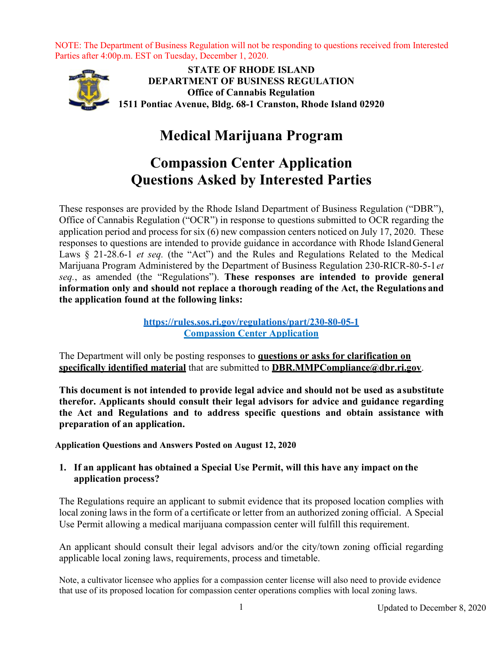

**STATE OF RHODE ISLAND DEPARTMENT OF BUSINESS REGULATION Office of Cannabis Regulation 1511 Pontiac Avenue, Bldg. 68-1 Cranston, Rhode Island 02920**

# **Medical Marijuana Program**

# **Compassion Center Application Questions Asked by Interested Parties**

These responses are provided by the Rhode Island Department of Business Regulation ("DBR"), Office of Cannabis Regulation ("OCR") in response to questions submitted to OCR regarding the application period and process for six (6) new compassion centers noticed on July 17, 2020. These responses to questions are intended to provide guidance in accordance with Rhode IslandGeneral Laws § 21-28.6-1 *et seq.* (the "Act") and the Rules and Regulations Related to the Medical Marijuana Program Administered by the Department of Business Regulation 230-RICR-80-5-1*et seq.*, as amended (the "Regulations"). **These responses are intended to provide general information only and should not replace a thorough reading of the Act, the Regulations and the application found at the following links:**

> **<https://rules.sos.ri.gov/regulations/part/230-80-05-1> [Compassion Center Application](https://dbr.ri.gov/documents/divisions/medicalmarijuana/Compassion_Center_Application_2020.docx)**

The Department will only be posting responses to **questions or asks for clarification on specifically identified material** that are submitted to **[DBR.MMPCompliance@dbr.ri.gov](mailto:DBR.MMPCompliance@dbr.ri.gov)**.

**This document is not intended to provide legal advice and should not be used as asubstitute therefor. Applicants should consult their legal advisors for advice and guidance regarding the Act and Regulations and to address specific questions and obtain assistance with preparation of an application.**

**Application Questions and Answers Posted on August 12, 2020**

# **1. If an applicant has obtained a Special Use Permit, will this have any impact on the application process?**

The Regulations require an applicant to submit evidence that its proposed location complies with local zoning laws in the form of a certificate or letter from an authorized zoning official. A Special Use Permit allowing a medical marijuana compassion center will fulfill this requirement.

An applicant should consult their legal advisors and/or the city/town zoning official regarding applicable local zoning laws, requirements, process and timetable.

Note, a cultivator licensee who applies for a compassion center license will also need to provide evidence that use of its proposed location for compassion center operations complies with local zoning laws.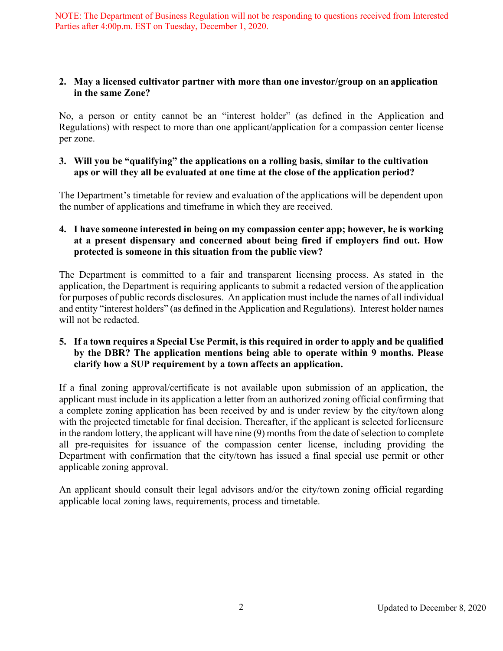## **2. May a licensed cultivator partner with more than one investor/group on an application in the same Zone?**

No, a person or entity cannot be an "interest holder" (as defined in the Application and Regulations) with respect to more than one applicant/application for a compassion center license per zone.

## **3. Will you be "qualifying" the applications on a rolling basis, similar to the cultivation aps or will they all be evaluated at one time at the close of the application period?**

The Department's timetable for review and evaluation of the applications will be dependent upon the number of applications and timeframe in which they are received.

# **4. I have someone interested in being on my compassion center app; however, he is working at a present dispensary and concerned about being fired if employers find out. How protected is someone in this situation from the public view?**

The Department is committed to a fair and transparent licensing process. As stated in the application, the Department is requiring applicants to submit a redacted version of the application for purposes of public records disclosures. An application must include the names of all individual and entity "interest holders" (as defined in the Application and Regulations). Interest holder names will not be redacted.

## 5. If a town requires a Special Use Permit, is this required in order to apply and be qualified **by the DBR? The application mentions being able to operate within 9 months. Please clarify how a SUP requirement by a town affects an application.**

If a final zoning approval/certificate is not available upon submission of an application, the applicant must include in its application a letter from an authorized zoning official confirming that a complete zoning application has been received by and is under review by the city/town along with the projected timetable for final decision. Thereafter, if the applicant is selected forlicensure in the random lottery, the applicant will have nine (9) months from the date of selection to complete all pre-requisites for issuance of the compassion center license, including providing the Department with confirmation that the city/town has issued a final special use permit or other applicable zoning approval.

An applicant should consult their legal advisors and/or the city/town zoning official regarding applicable local zoning laws, requirements, process and timetable.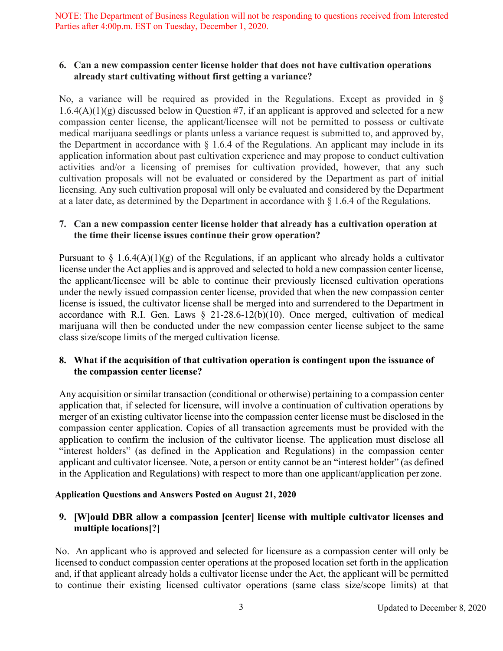## **6. Can a new compassion center license holder that does not have cultivation operations already start cultivating without first getting a variance?**

No, a variance will be required as provided in the Regulations. Except as provided in §  $1.6.4(A)(1)(g)$  discussed below in Question #7, if an applicant is approved and selected for a new compassion center license, the applicant/licensee will not be permitted to possess or cultivate medical marijuana seedlings or plants unless a variance request is submitted to, and approved by, the Department in accordance with  $\S$  1.6.4 of the Regulations. An applicant may include in its application information about past cultivation experience and may propose to conduct cultivation activities and/or a licensing of premises for cultivation provided, however, that any such cultivation proposals will not be evaluated or considered by the Department as part of initial licensing. Any such cultivation proposal will only be evaluated and considered by the Department at a later date, as determined by the Department in accordance with § 1.6.4 of the Regulations.

## **7. Can a new compassion center license holder that already has a cultivation operation at the time their license issues continue their grow operation?**

Pursuant to  $\S$  1.6.4(A)(1)(g) of the Regulations, if an applicant who already holds a cultivator license under the Act applies and is approved and selected to hold a new compassion center license, the applicant/licensee will be able to continue their previously licensed cultivation operations under the newly issued compassion center license, provided that when the new compassion center license is issued, the cultivator license shall be merged into and surrendered to the Department in accordance with R.I. Gen. Laws  $\S$  21-28.6-12(b)(10). Once merged, cultivation of medical marijuana will then be conducted under the new compassion center license subject to the same class size/scope limits of the merged cultivation license.

# **8. What if the acquisition of that cultivation operation is contingent upon the issuance of the compassion center license?**

Any acquisition or similar transaction (conditional or otherwise) pertaining to a compassion center application that, if selected for licensure, will involve a continuation of cultivation operations by merger of an existing cultivator license into the compassion center license must be disclosed in the compassion center application. Copies of all transaction agreements must be provided with the application to confirm the inclusion of the cultivator license. The application must disclose all "interest holders" (as defined in the Application and Regulations) in the compassion center applicant and cultivator licensee. Note, a person or entity cannot be an "interest holder" (as defined in the Application and Regulations) with respect to more than one applicant/application per zone.

## **Application Questions and Answers Posted on August 21, 2020**

# **9. [W]ould DBR allow a compassion [center] license with multiple cultivator licenses and multiple locations[?]**

No. An applicant who is approved and selected for licensure as a compassion center will only be licensed to conduct compassion center operations at the proposed location set forth in the application and, if that applicant already holds a cultivator license under the Act, the applicant will be permitted to continue their existing licensed cultivator operations (same class size/scope limits) at that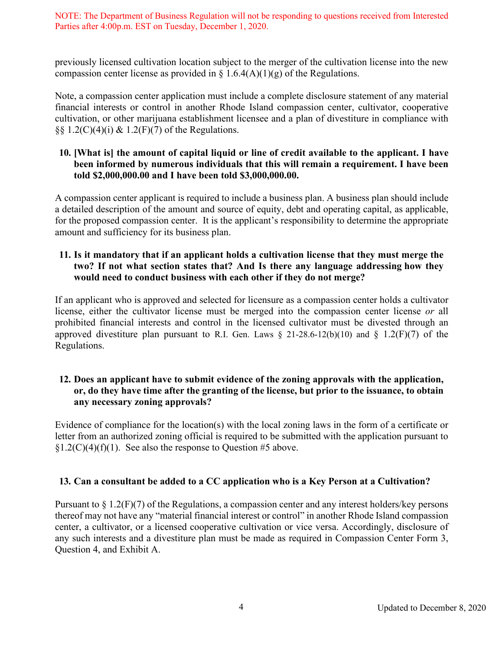previously licensed cultivation location subject to the merger of the cultivation license into the new compassion center license as provided in  $\S$  1.6.4(A)(1)(g) of the Regulations.

Note, a compassion center application must include a complete disclosure statement of any material financial interests or control in another Rhode Island compassion center, cultivator, cooperative cultivation, or other marijuana establishment licensee and a plan of divestiture in compliance with  $\S$ [3]  $(1.2(C)(4)(i) \& 1.2(F)(7)$  of the Regulations.

## **10. [What is] the amount of capital liquid or line of credit available to the applicant. I have been informed by numerous individuals that this will remain a requirement. I have been told \$2,000,000.00 and I have been told \$3,000,000.00.**

A compassion center applicant is required to include a business plan. A business plan should include a detailed description of the amount and source of equity, debt and operating capital, as applicable, for the proposed compassion center. It is the applicant's responsibility to determine the appropriate amount and sufficiency for its business plan.

## **11. Is it mandatory that if an applicant holds a cultivation license that they must merge the two? If not what section states that? And Is there any language addressing how they would need to conduct business with each other if they do not merge?**

If an applicant who is approved and selected for licensure as a compassion center holds a cultivator license, either the cultivator license must be merged into the compassion center license *or* all prohibited financial interests and control in the licensed cultivator must be divested through an approved divestiture plan pursuant to R.I. Gen. Laws  $\S$  21-28.6-12(b)(10) and  $\S$  1.2(F)(7) of the Regulations.

## **12. Does an applicant have to submit evidence of the zoning approvals with the application, or, do they have time after the granting of the license, but prior to the issuance, to obtain any necessary zoning approvals?**

Evidence of compliance for the location(s) with the local zoning laws in the form of a certificate or letter from an authorized zoning official is required to be submitted with the application pursuant to  $\S1.2(C)(4)(f)(1)$ . See also the response to Question #5 above.

# **13. Can a consultant be added to a CC application who is a Key Person at a Cultivation?**

Pursuant to  $\S 1.2(F)(7)$  of the Regulations, a compassion center and any interest holders/key persons thereof may not have any "material financial interest or control" in another Rhode Island compassion center, a cultivator, or a licensed cooperative cultivation or vice versa. Accordingly, disclosure of any such interests and a divestiture plan must be made as required in Compassion Center Form 3, Question 4, and Exhibit A.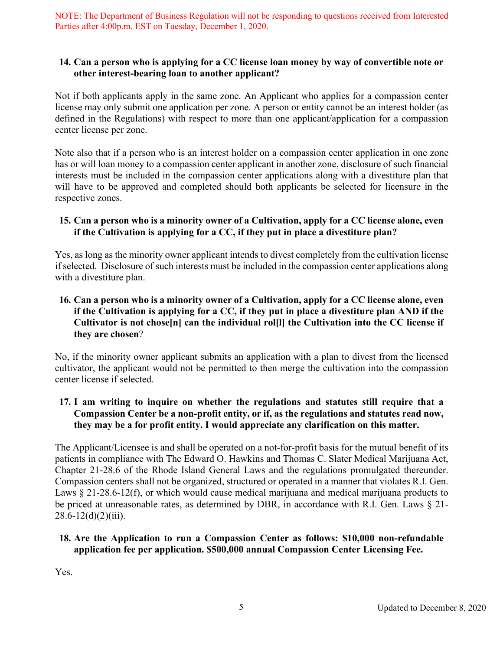## **14. Can a person who is applying for a CC license loan money by way of convertible note or other interest-bearing loan to another applicant?**

Not if both applicants apply in the same zone. An Applicant who applies for a compassion center license may only submit one application per zone. A person or entity cannot be an interest holder (as defined in the Regulations) with respect to more than one applicant/application for a compassion center license per zone.

Note also that if a person who is an interest holder on a compassion center application in one zone has or will loan money to a compassion center applicant in another zone, disclosure of such financial interests must be included in the compassion center applications along with a divestiture plan that will have to be approved and completed should both applicants be selected for licensure in the respective zones.

# **15. Can a person who is a minority owner of a Cultivation, apply for a CC license alone, even if the Cultivation is applying for a CC, if they put in place a divestiture plan?**

Yes, as long as the minority owner applicant intends to divest completely from the cultivation license if selected. Disclosure of such interests must be included in the compassion center applications along with a divestiture plan.

# **16. Can a person who is a minority owner of a Cultivation, apply for a CC license alone, even if the Cultivation is applying for a CC, if they put in place a divestiture plan AND if the Cultivator is not chose[n] can the individual rol[l] the Cultivation into the CC license if they are chosen**?

No, if the minority owner applicant submits an application with a plan to divest from the licensed cultivator, the applicant would not be permitted to then merge the cultivation into the compassion center license if selected.

# **17. I am writing to inquire on whether the regulations and statutes still require that a Compassion Center be a non-profit entity, or if, as the regulations and statutes read now, they may be a for profit entity. I would appreciate any clarification on this matter.**

The Applicant/Licensee is and shall be operated on a not-for-profit basis for the mutual benefit of its patients in compliance with The Edward O. Hawkins and Thomas C. Slater Medical Marijuana Act, Chapter 21-28.6 of the Rhode Island General Laws and the regulations promulgated thereunder. Compassion centers shall not be organized, structured or operated in a manner that violates R.I. Gen. Laws § 21-28.6-12(f), or which would cause medical marijuana and medical marijuana products to be priced at unreasonable rates, as determined by DBR, in accordance with R.I. Gen. Laws § 21-  $28.6 - 12(d)(2)(iii)$ .

# **18. Are the Application to run a Compassion Center as follows: \$10,000 non-refundable application fee per application. \$500,000 annual Compassion Center Licensing Fee.**

Yes.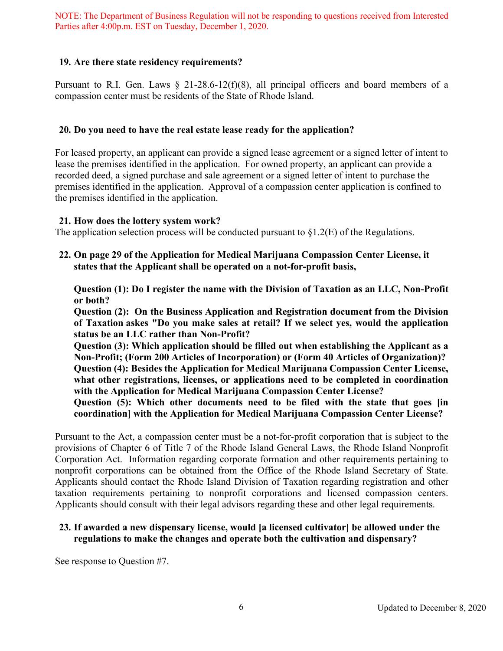## **19. Are there state residency requirements?**

Pursuant to R.I. Gen. Laws § 21-28.6-12(f)(8), all principal officers and board members of a compassion center must be residents of the State of Rhode Island.

#### **20. Do you need to have the real estate lease ready for the application?**

For leased property, an applicant can provide a signed lease agreement or a signed letter of intent to lease the premises identified in the application. For owned property, an applicant can provide a recorded deed, a signed purchase and sale agreement or a signed letter of intent to purchase the premises identified in the application. Approval of a compassion center application is confined to the premises identified in the application.

#### **21. How does the lottery system work?**

The application selection process will be conducted pursuant to  $\S 1.2(E)$  of the Regulations.

**22. On page 29 of the Application for Medical Marijuana Compassion Center License, it states that the Applicant shall be operated on a not-for-profit basis,** 

**Question (1): Do I register the name with the Division of Taxation as an LLC, Non-Profit or both?** 

**Question (2): On the Business Application and Registration document from the Division of Taxation askes "Do you make sales at retail? If we select yes, would the application status be an LLC rather than Non-Profit?** 

**Question (3): Which application should be filled out when establishing the Applicant as a Non-Profit; (Form 200 Articles of Incorporation) or (Form 40 Articles of Organization)? Question (4): Besides the Application for Medical Marijuana Compassion Center License, what other registrations, licenses, or applications need to be completed in coordination with the Application for Medical Marijuana Compassion Center License?** 

**Question (5): Which other documents need to be filed with the state that goes [in coordination] with the Application for Medical Marijuana Compassion Center License?**

Pursuant to the Act, a compassion center must be a not-for-profit corporation that is subject to the provisions of Chapter 6 of Title 7 of the Rhode Island General Laws, the Rhode Island Nonprofit Corporation Act. Information regarding corporate formation and other requirements pertaining to nonprofit corporations can be obtained from the Office of the Rhode Island Secretary of State. Applicants should contact the Rhode Island Division of Taxation regarding registration and other taxation requirements pertaining to nonprofit corporations and licensed compassion centers. Applicants should consult with their legal advisors regarding these and other legal requirements.

## **23. If awarded a new dispensary license, would [a licensed cultivator] be allowed under the regulations to make the changes and operate both the cultivation and dispensary?**

See response to Question #7.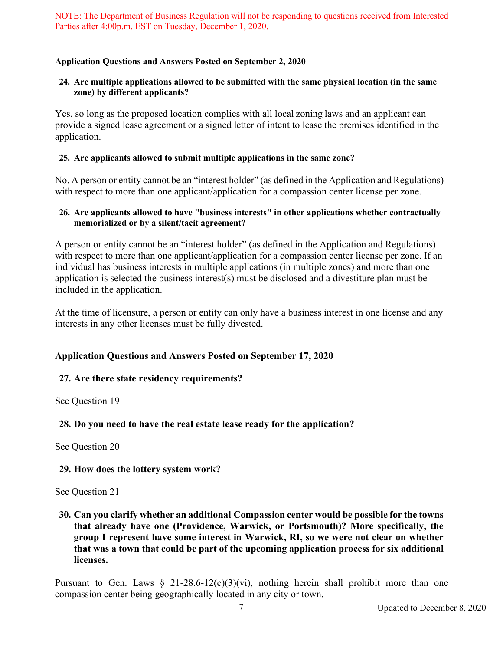## **Application Questions and Answers Posted on September 2, 2020**

## **24. Are multiple applications allowed to be submitted with the same physical location (in the same zone) by different applicants?**

Yes, so long as the proposed location complies with all local zoning laws and an applicant can provide a signed lease agreement or a signed letter of intent to lease the premises identified in the application.

## **25. Are applicants allowed to submit multiple applications in the same zone?**

No. A person or entity cannot be an "interest holder" (as defined in the Application and Regulations) with respect to more than one applicant/application for a compassion center license per zone.

#### **26. Are applicants allowed to have "business interests" in other applications whether contractually memorialized or by a silent/tacit agreement?**

A person or entity cannot be an "interest holder" (as defined in the Application and Regulations) with respect to more than one applicant/application for a compassion center license per zone. If an individual has business interests in multiple applications (in multiple zones) and more than one application is selected the business interest(s) must be disclosed and a divestiture plan must be included in the application.

At the time of licensure, a person or entity can only have a business interest in one license and any interests in any other licenses must be fully divested.

# **Application Questions and Answers Posted on September 17, 2020**

## **27. Are there state residency requirements?**

See Question 19

## **28. Do you need to have the real estate lease ready for the application?**

See Question 20

## **29. How does the lottery system work?**

See Question 21

**30. Can you clarify whether an additional Compassion center would be possible for the towns that already have one (Providence, Warwick, or Portsmouth)? More specifically, the group I represent have some interest in Warwick, RI, so we were not clear on whether that was a town that could be part of the upcoming application process for six additional licenses.**

Pursuant to Gen. Laws  $\S$  21-28.6-12(c)(3)(vi), nothing herein shall prohibit more than one compassion center being geographically located in any city or town.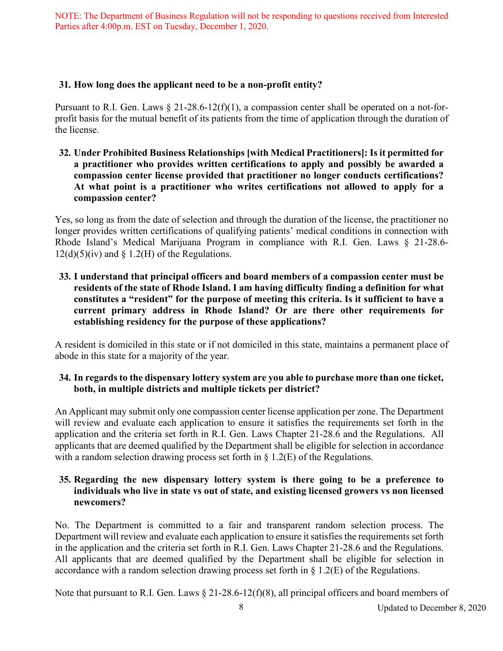## **31. How long does the applicant need to be a non-profit entity?**

Pursuant to R.I. Gen. Laws  $\S 21-28.6-12(f)(1)$ , a compassion center shall be operated on a not-forprofit basis for the mutual benefit of its patients from the time of application through the duration of the license.

**32. Under Prohibited Business Relationships [with Medical Practitioners]: Is it permitted for a practitioner who provides written certifications to apply and possibly be awarded a compassion center license provided that practitioner no longer conducts certifications? At what point is a practitioner who writes certifications not allowed to apply for a compassion center?**

Yes, so long as from the date of selection and through the duration of the license, the practitioner no longer provides written certifications of qualifying patients' medical conditions in connection with Rhode Island's Medical Marijuana Program in compliance with R.I. Gen. Laws § 21-28.6-  $12(d)(5)(iv)$  and § 1.2(H) of the Regulations.

**33. I understand that principal officers and board members of a compassion center must be residents of the state of Rhode Island. I am having difficulty finding a definition for what constitutes a "resident" for the purpose of meeting this criteria. Is it sufficient to have a current primary address in Rhode Island? Or are there other requirements for establishing residency for the purpose of these applications?**

A resident is domiciled in this state or if not domiciled in this state, maintains a permanent place of abode in this state for a majority of the year.

## **34. In regards to the dispensary lottery system are you able to purchase more than one ticket, both, in multiple districts and multiple tickets per district?**

An Applicant may submit only one compassion center license application per zone. The Department will review and evaluate each application to ensure it satisfies the requirements set forth in the application and the criteria set forth in R.I. Gen. Laws Chapter 21-28.6 and the Regulations. All applicants that are deemed qualified by the Department shall be eligible for selection in accordance with a random selection drawing process set forth in  $\S$  1.2(E) of the Regulations.

# **35. Regarding the new dispensary lottery system is there going to be a preference to individuals who live in state vs out of state, and existing licensed growers vs non licensed newcomers?**

No. The Department is committed to a fair and transparent random selection process. The Department will review and evaluate each application to ensure it satisfies the requirements set forth in the application and the criteria set forth in R.I. Gen. Laws Chapter 21-28.6 and the Regulations. All applicants that are deemed qualified by the Department shall be eligible for selection in accordance with a random selection drawing process set forth in § 1.2(E) of the Regulations.

Note that pursuant to R.I. Gen. Laws § 21-28.6-12(f)(8), all principal officers and board members of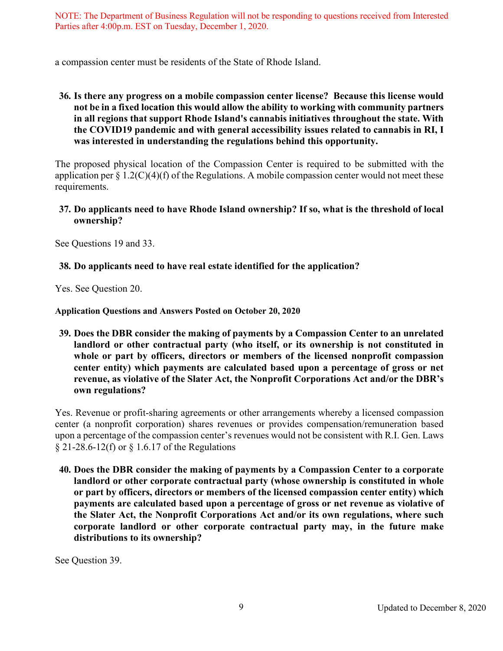a compassion center must be residents of the State of Rhode Island.

## **36. Is there any progress on a mobile compassion center license? Because this license would not be in a fixed location this would allow the ability to working with community partners in all regions that support Rhode Island's cannabis initiatives throughout the state. With the COVID19 pandemic and with general accessibility issues related to cannabis in RI, I was interested in understanding the regulations behind this opportunity.**

The proposed physical location of the Compassion Center is required to be submitted with the application per  $\S 1.2(C)(4)(f)$  of the Regulations. A mobile compassion center would not meet these requirements.

## **37. Do applicants need to have Rhode Island ownership? If so, what is the threshold of local ownership?**

See Questions 19 and 33.

## **38. Do applicants need to have real estate identified for the application?**

Yes. See Question 20.

**Application Questions and Answers Posted on October 20, 2020**

**39. Does the DBR consider the making of payments by a Compassion Center to an unrelated landlord or other contractual party (who itself, or its ownership is not constituted in whole or part by officers, directors or members of the licensed nonprofit compassion center entity) which payments are calculated based upon a percentage of gross or net revenue, as violative of the Slater Act, the Nonprofit Corporations Act and/or the DBR's own regulations?**

Yes. Revenue or profit-sharing agreements or other arrangements whereby a licensed compassion center (a nonprofit corporation) shares revenues or provides compensation/remuneration based upon a percentage of the compassion center's revenues would not be consistent with R.I. Gen. Laws § 21-28.6-12(f) or § 1.6.17 of the Regulations

**40. Does the DBR consider the making of payments by a Compassion Center to a corporate landlord or other corporate contractual party (whose ownership is constituted in whole or part by officers, directors or members of the licensed compassion center entity) which payments are calculated based upon a percentage of gross or net revenue as violative of the Slater Act, the Nonprofit Corporations Act and/or its own regulations, where such corporate landlord or other corporate contractual party may, in the future make distributions to its ownership?**

See Question 39.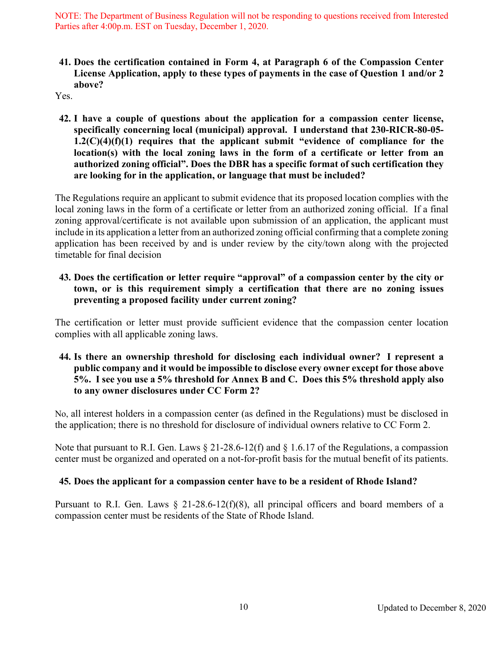**41. Does the certification contained in Form 4, at Paragraph 6 of the Compassion Center License Application, apply to these types of payments in the case of Question 1 and/or 2 above?**

Yes.

**42. I have a couple of questions about the application for a compassion center license, specifically concerning local (municipal) approval. I understand that 230-RICR-80-05- 1.2(C)(4)(f)(1) requires that the applicant submit "evidence of compliance for the location(s) with the local zoning laws in the form of a certificate or letter from an authorized zoning official". Does the DBR has a specific format of such certification they are looking for in the application, or language that must be included?**

The Regulations require an applicant to submit evidence that its proposed location complies with the local zoning laws in the form of a certificate or letter from an authorized zoning official. If a final zoning approval/certificate is not available upon submission of an application, the applicant must include in its application a letter from an authorized zoning official confirming that a complete zoning application has been received by and is under review by the city/town along with the projected timetable for final decision

**43. Does the certification or letter require "approval" of a compassion center by the city or town, or is this requirement simply a certification that there are no zoning issues preventing a proposed facility under current zoning?**

The certification or letter must provide sufficient evidence that the compassion center location complies with all applicable zoning laws.

**44. Is there an ownership threshold for disclosing each individual owner? I represent a public company and it would be impossible to disclose every owner except for those above 5%. I see you use a 5% threshold for Annex B and C. Does this 5% threshold apply also to any owner disclosures under CC Form 2?**

No, all interest holders in a compassion center (as defined in the Regulations) must be disclosed in the application; there is no threshold for disclosure of individual owners relative to CC Form 2.

Note that pursuant to R.I. Gen. Laws § 21-28.6-12(f) and § 1.6.17 of the Regulations, a compassion center must be organized and operated on a not-for-profit basis for the mutual benefit of its patients.

# **45. Does the applicant for a compassion center have to be a resident of Rhode Island?**

Pursuant to R.I. Gen. Laws  $\S$  21-28.6-12(f)(8), all principal officers and board members of a compassion center must be residents of the State of Rhode Island.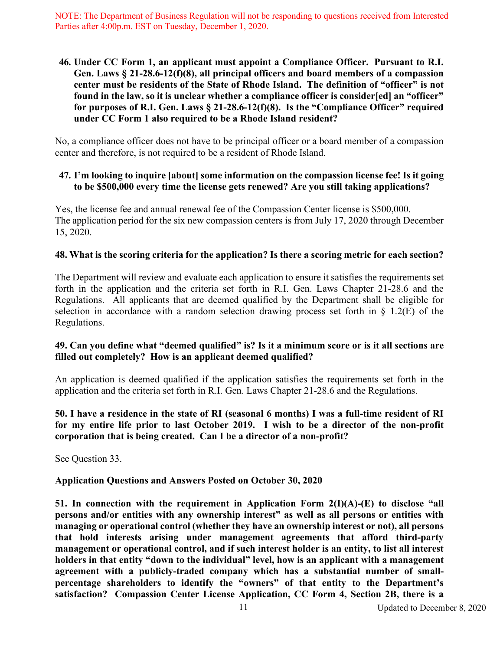**46. Under CC Form 1, an applicant must appoint a Compliance Officer. Pursuant to R.I. Gen. Laws § 21-28.6-12(f)(8), all principal officers and board members of a compassion center must be residents of the State of Rhode Island. The definition of "officer" is not found in the law, so it is unclear whether a compliance officer is consider[ed] an "officer" for purposes of R.I. Gen. Laws § 21-28.6-12(f)(8). Is the "Compliance Officer" required under CC Form 1 also required to be a Rhode Island resident?**

No, a compliance officer does not have to be principal officer or a board member of a compassion center and therefore, is not required to be a resident of Rhode Island.

## **47. I'm looking to inquire [about] some information on the compassion license fee! Is it going to be \$500,000 every time the license gets renewed? Are you still taking applications?**

Yes, the license fee and annual renewal fee of the Compassion Center license is \$500,000. The application period for the six new compassion centers is from July 17, 2020 through December 15, 2020.

## **48. What is the scoring criteria for the application? Is there a scoring metric for each section?**

The Department will review and evaluate each application to ensure it satisfies the requirements set forth in the application and the criteria set forth in R.I. Gen. Laws Chapter 21-28.6 and the Regulations. All applicants that are deemed qualified by the Department shall be eligible for selection in accordance with a random selection drawing process set forth in § 1.2(E) of the Regulations.

## **49. Can you define what "deemed qualified" is? Is it a minimum score or is it all sections are filled out completely? How is an applicant deemed qualified?**

An application is deemed qualified if the application satisfies the requirements set forth in the application and the criteria set forth in R.I. Gen. Laws Chapter 21-28.6 and the Regulations.

## **50. I have a residence in the state of RI (seasonal 6 months) I was a full-time resident of RI for my entire life prior to last October 2019. I wish to be a director of the non-profit corporation that is being created. Can I be a director of a non-profit?**

See Question 33.

## **Application Questions and Answers Posted on October 30, 2020**

**51. In connection with the requirement in Application Form 2(I)(A)-(E) to disclose "all persons and/or entities with any ownership interest" as well as all persons or entities with managing or operational control (whether they have an ownership interest or not), all persons that hold interests arising under management agreements that afford third-party management or operational control, and if such interest holder is an entity, to list all interest holders in that entity "down to the individual" level, how is an applicant with a management agreement with a publicly-traded company which has a substantial number of smallpercentage shareholders to identify the "owners" of that entity to the Department's satisfaction? Compassion Center License Application, CC Form 4, Section 2B, there is a**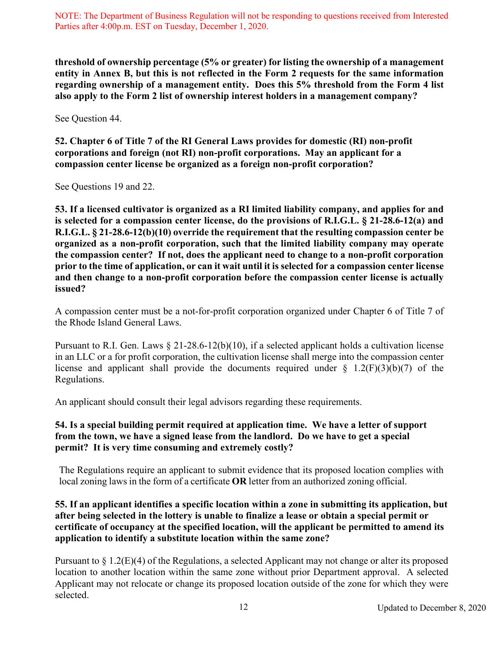**threshold of ownership percentage (5% or greater) for listing the ownership of a management entity in Annex B, but this is not reflected in the Form 2 requests for the same information regarding ownership of a management entity. Does this 5% threshold from the Form 4 list also apply to the Form 2 list of ownership interest holders in a management company?**

See Question 44.

**52. Chapter 6 of Title 7 of the RI General Laws provides for domestic (RI) non-profit corporations and foreign (not RI) non-profit corporations. May an applicant for a compassion center license be organized as a foreign non-profit corporation?**

See Questions 19 and 22.

**53. If a licensed cultivator is organized as a RI limited liability company, and applies for and is selected for a compassion center license, do the provisions of R.I.G.L. § 21-28.6-12(a) and R.I.G.L. § 21-28.6-12(b)(10) override the requirement that the resulting compassion center be organized as a non-profit corporation, such that the limited liability company may operate the compassion center? If not, does the applicant need to change to a non-profit corporation prior to the time of application, or can it wait until it is selected for a compassion center license and then change to a non-profit corporation before the compassion center license is actually issued?**

A compassion center must be a not-for-profit corporation organized under Chapter 6 of Title 7 of the Rhode Island General Laws.

Pursuant to R.I. Gen. Laws § 21-28.6-12(b)(10), if a selected applicant holds a cultivation license in an LLC or a for profit corporation, the cultivation license shall merge into the compassion center license and applicant shall provide the documents required under  $\S$  1.2(F)(3)(b)(7) of the Regulations.

An applicant should consult their legal advisors regarding these requirements.

## **54. Is a special building permit required at application time. We have a letter of support from the town, we have a signed lease from the landlord. Do we have to get a special permit? It is very time consuming and extremely costly?**

The Regulations require an applicant to submit evidence that its proposed location complies with local zoning laws in the form of a certificate **OR** letter from an authorized zoning official.

## **55. If an applicant identifies a specific location within a zone in submitting its application, but after being selected in the lottery is unable to finalize a lease or obtain a special permit or certificate of occupancy at the specified location, will the applicant be permitted to amend its application to identify a substitute location within the same zone?**

Pursuant to § 1.2(E)(4) of the Regulations, a selected Applicant may not change or alter its proposed location to another location within the same zone without prior Department approval. A selected Applicant may not relocate or change its proposed location outside of the zone for which they were selected.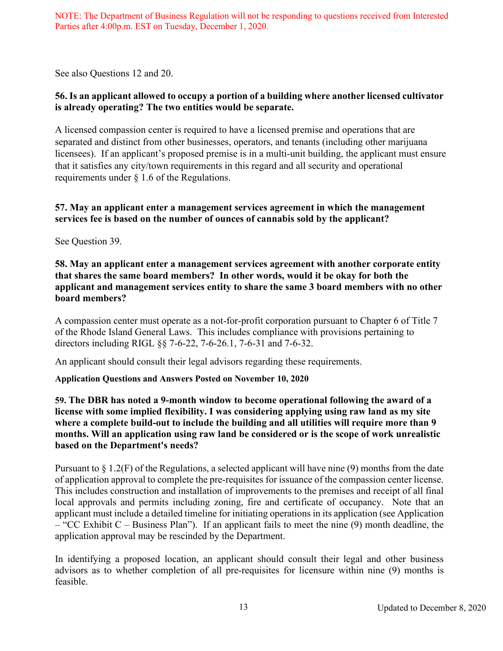See also Questions 12 and 20.

# **56. Is an applicant allowed to occupy a portion of a building where another licensed cultivator is already operating? The two entities would be separate.**

A licensed compassion center is required to have a licensed premise and operations that are separated and distinct from other businesses, operators, and tenants (including other marijuana licensees). If an applicant's proposed premise is in a multi-unit building, the applicant must ensure that it satisfies any city/town requirements in this regard and all security and operational requirements under § 1.6 of the Regulations.

## **57. May an applicant enter a management services agreement in which the management services fee is based on the number of ounces of cannabis sold by the applicant?**

See Question 39.

## **58. May an applicant enter a management services agreement with another corporate entity that shares the same board members? In other words, would it be okay for both the applicant and management services entity to share the same 3 board members with no other board members?**

A compassion center must operate as a not-for-profit corporation pursuant to Chapter 6 of Title 7 of the Rhode Island General Laws. This includes compliance with provisions pertaining to directors including RIGL §§ 7-6-22, 7-6-26.1, 7-6-31 and 7-6-32.

An applicant should consult their legal advisors regarding these requirements.

# **Application Questions and Answers Posted on November 10, 2020**

## **59. The DBR has noted a 9-month window to become operational following the award of a license with some implied flexibility. I was considering applying using raw land as my site where a complete build-out to include the building and all utilities will require more than 9 months. Will an application using raw land be considered or is the scope of work unrealistic based on the Department's needs?**

Pursuant to  $\S 1.2(F)$  of the Regulations, a selected applicant will have nine (9) months from the date of application approval to complete the pre-requisites for issuance of the compassion center license. This includes construction and installation of improvements to the premises and receipt of all final local approvals and permits including zoning, fire and certificate of occupancy. Note that an applicant must include a detailed timeline for initiating operations in its application (see Application – "CC Exhibit C – Business Plan"). If an applicant fails to meet the nine (9) month deadline, the application approval may be rescinded by the Department.

In identifying a proposed location, an applicant should consult their legal and other business advisors as to whether completion of all pre-requisites for licensure within nine (9) months is feasible.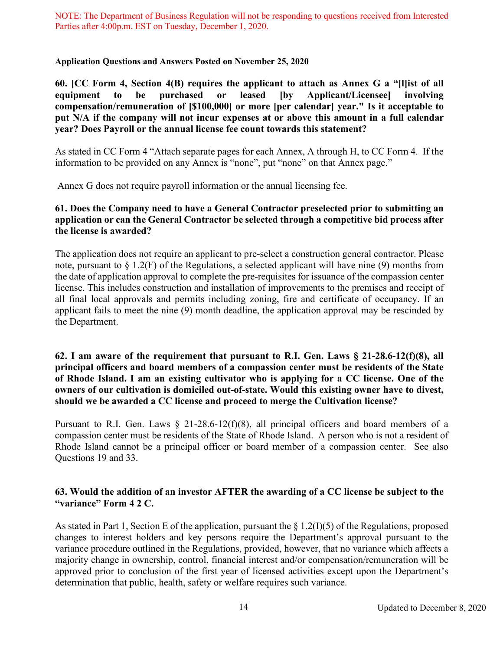#### **Application Questions and Answers Posted on November 25, 2020**

**60. [CC Form 4, Section 4(B) requires the applicant to attach as Annex G a "[l]ist of all equipment to be purchased or leased [by Applicant/Licensee] involving compensation/remuneration of [\$100,000] or more [per calendar] year." Is it acceptable to put N/A if the company will not incur expenses at or above this amount in a full calendar year? Does Payroll or the annual license fee count towards this statement?** 

As stated in CC Form 4 "Attach separate pages for each Annex, A through H, to CC Form 4. If the information to be provided on any Annex is "none", put "none" on that Annex page."

Annex G does not require payroll information or the annual licensing fee.

## **61. Does the Company need to have a General Contractor preselected prior to submitting an application or can the General Contractor be selected through a competitive bid process after the license is awarded?**

The application does not require an applicant to pre-select a construction general contractor. Please note, pursuant to § 1.2(F) of the Regulations, a selected applicant will have nine (9) months from the date of application approval to complete the pre-requisites for issuance of the compassion center license. This includes construction and installation of improvements to the premises and receipt of all final local approvals and permits including zoning, fire and certificate of occupancy. If an applicant fails to meet the nine (9) month deadline, the application approval may be rescinded by the Department.

## **62. I am aware of the requirement that pursuant to R.I. Gen. Laws § 21-28.6-12(f)(8), all principal officers and board members of a compassion center must be residents of the State of Rhode Island. I am an existing cultivator who is applying for a CC license. One of the owners of our cultivation is domiciled out-of-state. Would this existing owner have to divest, should we be awarded a CC license and proceed to merge the Cultivation license?**

Pursuant to R.I. Gen. Laws  $\S$  21-28.6-12(f)(8), all principal officers and board members of a compassion center must be residents of the State of Rhode Island. A person who is not a resident of Rhode Island cannot be a principal officer or board member of a compassion center. See also Questions 19 and 33.

# **63. Would the addition of an investor AFTER the awarding of a CC license be subject to the "variance" Form 4 2 C.**

As stated in Part 1, Section E of the application, pursuant the  $\S 1.2(I)(5)$  of the Regulations, proposed changes to interest holders and key persons require the Department's approval pursuant to the variance procedure outlined in the Regulations, provided, however, that no variance which affects a majority change in ownership, control, financial interest and/or compensation/remuneration will be approved prior to conclusion of the first year of licensed activities except upon the Department's determination that public, health, safety or welfare requires such variance.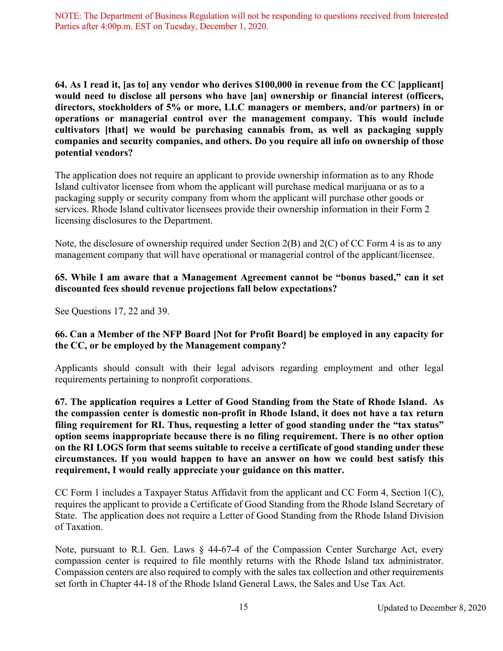**64. As I read it, [as to] any vendor who derives \$100,000 in revenue from the CC [applicant] would need to disclose all persons who have [an] ownership or financial interest (officers, directors, stockholders of 5% or more, LLC managers or members, and/or partners) in or operations or managerial control over the management company. This would include cultivators [that] we would be purchasing cannabis from, as well as packaging supply companies and security companies, and others. Do you require all info on ownership of those potential vendors?** 

The application does not require an applicant to provide ownership information as to any Rhode Island cultivator licensee from whom the applicant will purchase medical marijuana or as to a packaging supply or security company from whom the applicant will purchase other goods or services. Rhode Island cultivator licensees provide their ownership information in their Form 2 licensing disclosures to the Department.

Note, the disclosure of ownership required under Section 2(B) and 2(C) of CC Form 4 is as to any management company that will have operational or managerial control of the applicant/licensee.

# **65. While I am aware that a Management Agreement cannot be "bonus based," can it set discounted fees should revenue projections fall below expectations?**

See Questions 17, 22 and 39.

## **66. Can a Member of the NFP Board [Not for Profit Board] be employed in any capacity for the CC, or be employed by the Management company?**

Applicants should consult with their legal advisors regarding employment and other legal requirements pertaining to nonprofit corporations.

**67. The application requires a Letter of Good Standing from the State of Rhode Island. As the compassion center is domestic non-profit in Rhode Island, it does not have a tax return filing requirement for RI. Thus, requesting a letter of good standing under the "tax status" option seems inappropriate because there is no filing requirement. There is no other option on the RI LOGS form that seems suitable to receive a certificate of good standing under these circumstances. If you would happen to have an answer on how we could best satisfy this requirement, I would really appreciate your guidance on this matter.**

CC Form 1 includes a Taxpayer Status Affidavit from the applicant and CC Form 4, Section 1(C), requires the applicant to provide a Certificate of Good Standing from the Rhode Island Secretary of State. The application does not require a Letter of Good Standing from the Rhode Island Division of Taxation.

Note, pursuant to R.I. Gen. Laws § 44-67-4 of the Compassion Center Surcharge Act, every compassion center is required to file monthly returns with the Rhode Island tax administrator. Compassion centers are also required to comply with the sales tax collection and other requirements set forth in Chapter 44-18 of the Rhode Island General Laws, the Sales and Use Tax Act.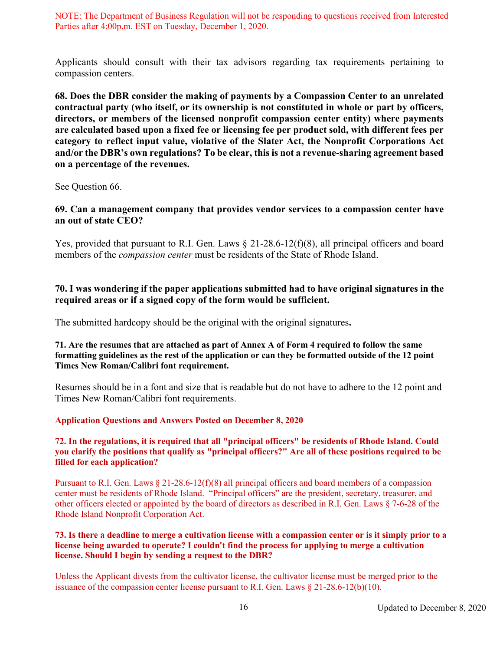Applicants should consult with their tax advisors regarding tax requirements pertaining to compassion centers.

**68. Does the DBR consider the making of payments by a Compassion Center to an unrelated contractual party (who itself, or its ownership is not constituted in whole or part by officers, directors, or members of the licensed nonprofit compassion center entity) where payments are calculated based upon a fixed fee or licensing fee per product sold, with different fees per category to reflect input value, violative of the Slater Act, the Nonprofit Corporations Act and/or the DBR's own regulations? To be clear, this is not a revenue-sharing agreement based on a percentage of the revenues.**

See Question 66.

## **69. Can a management company that provides vendor services to a compassion center have an out of state CEO?**

Yes, provided that pursuant to R.I. Gen. Laws § 21-28.6-12(f)(8), all principal officers and board members of the *compassion center* must be residents of the State of Rhode Island.

## **70. I was wondering if the paper applications submitted had to have original signatures in the required areas or if a signed copy of the form would be sufficient.**

The submitted hardcopy should be the original with the original signatures**.**

#### **71. Are the resumes that are attached as part of Annex A of Form 4 required to follow the same formatting guidelines as the rest of the application or can they be formatted outside of the 12 point Times New Roman/Calibri font requirement.**

Resumes should be in a font and size that is readable but do not have to adhere to the 12 point and Times New Roman/Calibri font requirements.

#### **Application Questions and Answers Posted on December 8, 2020**

#### **72. In the regulations, it is required that all "principal officers" be residents of Rhode Island. Could you clarify the positions that qualify as "principal officers?" Are all of these positions required to be filled for each application?**

Pursuant to R.I. Gen. Laws § 21-28.6-12(f)(8) all principal officers and board members of a compassion center must be residents of Rhode Island. "Principal officers" are the president, secretary, treasurer, and other officers elected or appointed by the board of directors as described in R.I. Gen. Laws § 7-6-28 of the Rhode Island Nonprofit Corporation Act.

#### **73. Is there a deadline to merge a cultivation license with a compassion center or is it simply prior to a license being awarded to operate? I couldn't find the process for applying to merge a cultivation license. Should I begin by sending a request to the DBR?**

Unless the Applicant divests from the cultivator license, the cultivator license must be merged prior to the issuance of the compassion center license pursuant to R.I. Gen. Laws  $\S$  21-28.6-12(b)(10).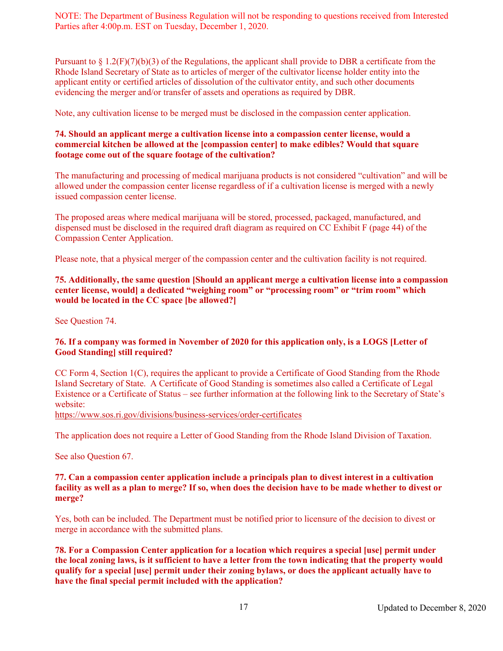Pursuant to  $\S 1.2(F)(7)(b)(3)$  of the Regulations, the applicant shall provide to DBR a certificate from the Rhode Island Secretary of State as to articles of merger of the cultivator license holder entity into the applicant entity or certified articles of dissolution of the cultivator entity, and such other documents evidencing the merger and/or transfer of assets and operations as required by DBR.

Note, any cultivation license to be merged must be disclosed in the compassion center application.

#### **74. Should an applicant merge a cultivation license into a compassion center license, would a commercial kitchen be allowed at the [compassion center] to make edibles? Would that square footage come out of the square footage of the cultivation?**

The manufacturing and processing of medical marijuana products is not considered "cultivation" and will be allowed under the compassion center license regardless of if a cultivation license is merged with a newly issued compassion center license.

The proposed areas where medical marijuana will be stored, processed, packaged, manufactured, and dispensed must be disclosed in the required draft diagram as required on CC Exhibit F (page 44) of the Compassion Center Application.

Please note, that a physical merger of the compassion center and the cultivation facility is not required.

#### **75. Additionally, the same question [Should an applicant merge a cultivation license into a compassion center license, would] a dedicated "weighing room" or "processing room" or "trim room" which would be located in the CC space [be allowed?]**

See Question 74.

#### **76. If a company was formed in November of 2020 for this application only, is a LOGS [Letter of Good Standing] still required?**

CC Form 4, Section 1(C), requires the applicant to provide a Certificate of Good Standing from the Rhode Island Secretary of State. A Certificate of Good Standing is sometimes also called a Certificate of Legal Existence or a Certificate of Status – see further information at the following link to the Secretary of State's website:

<https://www.sos.ri.gov/divisions/business-services/order-certificates>

The application does not require a Letter of Good Standing from the Rhode Island Division of Taxation.

See also Question 67.

#### **77. Can a compassion center application include a principals plan to divest interest in a cultivation facility as well as a plan to merge? If so, when does the decision have to be made whether to divest or merge?**

Yes, both can be included. The Department must be notified prior to licensure of the decision to divest or merge in accordance with the submitted plans.

**78. For a Compassion Center application for a location which requires a special [use] permit under the local zoning laws, is it sufficient to have a letter from the town indicating that the property would qualify for a special [use] permit under their zoning bylaws, or does the applicant actually have to have the final special permit included with the application?**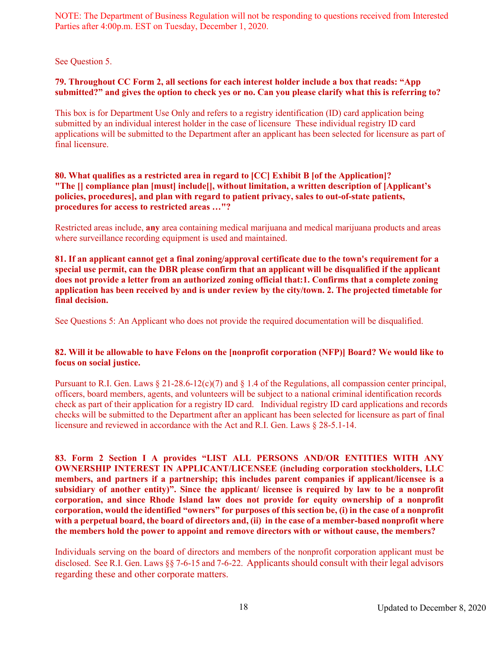See Question 5.

#### **79. Throughout CC Form 2, all sections for each interest holder include a box that reads: "App submitted?" and gives the option to check yes or no. Can you please clarify what this is referring to?**

This box is for Department Use Only and refers to a registry identification (ID) card application being submitted by an individual interest holder in the case of licensure These individual registry ID card applications will be submitted to the Department after an applicant has been selected for licensure as part of final licensure.

#### **80. What qualifies as a restricted area in regard to [CC] Exhibit B [of the Application]? "The [] compliance plan [must] include[], without limitation, a written description of [Applicant's policies, procedures], and plan with regard to patient privacy, sales to out-of-state patients, procedures for access to restricted areas …"?**

Restricted areas include, **any** area containing medical marijuana and medical marijuana products and areas where surveillance recording equipment is used and maintained.

**81. If an applicant cannot get a final zoning/approval certificate due to the town's requirement for a special use permit, can the DBR please confirm that an applicant will be disqualified if the applicant does not provide a letter from an authorized zoning official that:1. Confirms that a complete zoning application has been received by and is under review by the city/town. 2. The projected timetable for final decision.**

See Questions 5: An Applicant who does not provide the required documentation will be disqualified.

#### **82. Will it be allowable to have Felons on the [nonprofit corporation (NFP)] Board? We would like to focus on social justice.**

Pursuant to R.I. Gen. Laws  $\S 21-28.6-12(c)(7)$  and  $\S 1.4$  of the Regulations, all compassion center principal, officers, board members, agents, and volunteers will be subject to a national criminal identification records check as part of their application for a registry ID card. Individual registry ID card applications and records checks will be submitted to the Department after an applicant has been selected for licensure as part of final licensure and reviewed in accordance with the Act and R.I. Gen. Laws § 28-5.1-14.

**83. Form 2 Section I A provides "LIST ALL PERSONS AND/OR ENTITIES WITH ANY OWNERSHIP INTEREST IN APPLICANT/LICENSEE (including corporation stockholders, LLC members, and partners if a partnership; this includes parent companies if applicant/licensee is a subsidiary of another entity)". Since the applicant/ licensee is required by law to be a nonprofit corporation, and since Rhode Island law does not provide for equity ownership of a nonprofit corporation, would the identified "owners" for purposes of this section be, (i) in the case of a nonprofit with a perpetual board, the board of directors and, (ii) in the case of a member-based nonprofit where the members hold the power to appoint and remove directors with or without cause, the members?**

Individuals serving on the board of directors and members of the nonprofit corporation applicant must be disclosed. See R.I. Gen. Laws §§ 7-6-15 and 7-6-22. Applicants should consult with their legal advisors regarding these and other corporate matters.